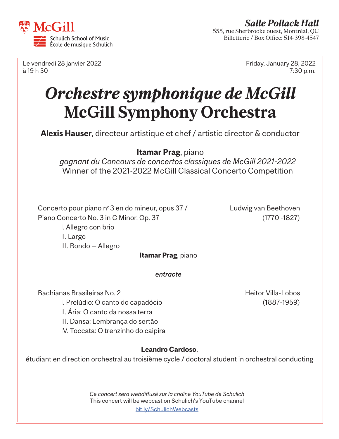

Le vendredi 28 janvier 2022 Friday, January 28, 2022 à 19 h 30 7:30 p.m.

# *Orchestre symphonique de McGill* **McGill Symphony Orchestra**

**Alexis Hauser**, directeur artistique et chef / artistic director & conductor

## **Itamar Prag**, piano

*gagnant du Concours de concertos classiques de McGill 2021-2022*  Winner of the 2021-2022 McGill Classical Concerto Competition

Concerto pour piano  $n^{\circ}$ 3 en do mineur, opus 37 / Ludwig van Beethoven Piano Concerto No. 3 in C Minor, Op. 37 (1770 -1827) I. Allegro con brio

III. Rondo — Allegro

**Itamar Prag**, piano

*entracte*

Bachianas Brasileiras No. 2 Heitor Villa-Lobos I. Prelúdio: O canto do capadócio (1887-1959) II. Ária: O canto da nossa terra III. Dansa: Lembrança do sertão IV. Toccata: O trenzinho do caipira

II. Largo

### **Leandro Cardoso**,

étudiant en direction orchestral au troisième cycle / doctoral student in orchestral conducting

*Ce concert sera webdiffusé sur la chaîne YouTube de Schulich*  This concert will be webcast on Schulich's YouTube channel [bit.ly/S](http://bit.ly/SchulichWebcasts)chulichWebcasts